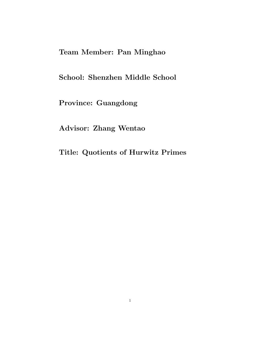# Team Member: Pan Minghao

School: Shenzhen Middle School

Province: Guangdong

Advisor: Zhang Wentao

Title: Quotients of Hurwitz Primes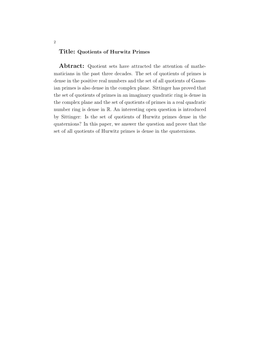# Title: Quotients of Hurwitz Primes

Abtract: Quotient sets have attracted the attention of mathematicians in the past three decades. The set of quotients of primes is dense in the positive real numbers and the set of all quotients of Gaussian primes is also dense in the complex plane. Sittinger has proved that the set of quotients of primes in an imaginary quadratic ring is dense in the complex plane and the set of quotients of primes in a real quadratic number ring is dense in R. An interesting open question is introduced by Sittinger: Is the set of quotients of Hurwitz primes dense in the quaternions? In this paper, we answer the question and prove that the set of all quotients of Hurwitz primes is dense in the quaternions.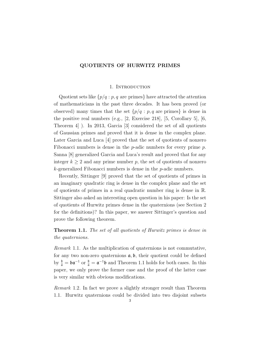### QUOTIENTS OF HURWITZ PRIMES

### 1. INTRODUCTION

Quotient sets like  $\{p/q : p, q \text{ are primes}\}\$  have attracted the attention of mathematicians in the past three decades. It has been proved (or observed) many times that the set  $\{p/q : p, q \text{ are primes}\}\$ is dense in the positive real numbers (e.g., [2, Exercise 218], [5, Corollary 5], [6, Theorem 4] ). In 2013, Garcia [3] considered the set of all quotients of Gaussian primes and proved that it is dense in the complex plane. Later Garcia and Luca [4] proved that the set of quotients of nonzero Fibonacci numbers is dense in the  $p$ -adic numbers for every prime  $p$ . Sanna [8] generalized Garcia and Luca's result and proved that for any integer  $k \geq 2$  and any prime number p, the set of quotients of nonzero  $k$ -generalized Fibonacci numbers is dense in the  $p$ -adic numbers.

Recently, Sittinger [9] proved that the set of quotients of primes in an imaginary quadratic ring is dense in the complex plane and the set of quotients of primes in a real quadratic number ring is dense in R. Sittinger also asked an interesting open question in his paper: Is the set of quotients of Hurwitz primes dense in the quaternions (see Section 2 for the definitions)? In this paper, we answer Sittinger's question and prove the following theorem.

Theorem 1.1. The set of all quotients of Hurwitz primes is dense in the quaternions.

Remark 1.1. As the multiplication of quaternions is not commutative, for any two non-zero quaternions  $a, b$ , their quotient could be defined by  $\frac{b}{a} = \mathfrak{b} \mathfrak{a}^{-1}$  or  $\frac{b}{a} = \mathfrak{a}^{-1} \mathfrak{b}$  and Theorem 1.1 holds for both cases. In this paper, we only prove the former case and the proof of the latter case is very similar with obvious modifications.

Remark 1.2. In fact we prove a slightly stronger result than Theorem 1.1. Hurwitz quaternions could be divided into two disjoint subsets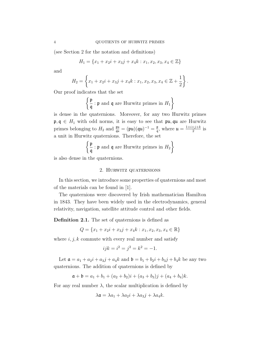(see Section 2 for the notation and definitions)

$$
H_1 = \{x_1 + x_2i + x_3j + x_4k : x_1, x_2, x_3, x_4 \in \mathbb{Z}\}
$$

and

$$
H_2 = \left\{ x_1 + x_2 i + x_3 j + x_4 k : x_1, x_2, x_3, x_4 \in \mathbb{Z} + \frac{1}{2} \right\}.
$$

Our proof indicates that the set

$$
\left\{\frac{\mathfrak{p}}{\mathfrak{q}} : \mathfrak{p} \text{ and } \mathfrak{q} \text{ are Hurwitz primes in } H_1 \right\}
$$

is dense in the quaternions. Moreover, for any two Hurwitz primes  $\mathfrak{p}, \mathfrak{q} \in H_1$  with odd norms, it is easy to see that  $\mathfrak{pu}, \mathfrak{qu}$  are Hurwitz primes belonging to  $H_2$  and  $\frac{\mathfrak{p}\mathfrak{u}}{\mathfrak{q}\mathfrak{u}} = (\mathfrak{p}\mathfrak{u})(\mathfrak{q}\mathfrak{u})^{-1} = \frac{\mathfrak{p}}{\mathfrak{q}}$  $\frac{\mathfrak{p}}{\mathfrak{q}},$  where  $\mathfrak{u} = \frac{1+i+j+k}{2}$  $\frac{+j+k}{2}$  is a unit in Hurwitz quaternions. Therefore, the set

$$
\left\{\frac{\mathfrak{p}}{\mathfrak{q}} : \mathfrak{p} \text{ and } \mathfrak{q} \text{ are Hurwitz primes in } H_2\right\}
$$

is also dense in the quaternions.

# 2. Hurwitz quaternions

In this section, we introduce some properties of quaternions and most of the materials can be found in [1].

The quaternions were discovered by Irish mathematician Hamilton in 1843. They have been widely used in the electrodynamics, general relativity, navigation, satellite attitude control and other fields.

Definition 2.1. The set of quaternions is defined as

$$
Q = \{x_1 + x_2i + x_3j + x_4k : x_1, x_2, x_3, x_4 \in \mathbb{R}\}\
$$

where  $i, j, k$  commute with every real number and satisfy

$$
ijk = i^2 = j^2 = k^2 = -1.
$$

Let  $a = a_1 + a_2i + a_3j + a_4k$  and  $b = b_1 + b_2i + b_3j + b_4k$  be any two quaternions. The addition of quaternions is defined by

$$
\mathfrak{a} + \mathfrak{b} = a_1 + b_1 + (a_2 + b_2)i + (a_3 + b_3)j + (a_4 + b_4)k.
$$

For any real number  $\lambda$ , the scalar multiplication is defined by

$$
\lambda \mathfrak{a} = \lambda a_1 + \lambda a_2 i + \lambda a_3 j + \lambda a_4 k.
$$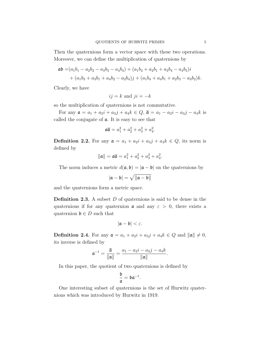Then the quaternions form a vector space with these two operations. Moreover, we can define the multiplication of quaternions by

$$
\mathfrak{a}\mathfrak{b} = (a_1b_1 - a_2b_2 - a_3b_3 - a_4b_4) + (a_1b_2 + a_2b_1 + a_3b_4 - a_4b_3)i
$$
  
+ 
$$
(a_1b_3 + a_3b_1 + a_4b_2 - a_2b_4)j + (a_1b_4 + a_4b_1 + a_2b_3 - a_3b_2)k.
$$

Clearly, we have

$$
ij = k
$$
 and  $ji = -k$ 

so the multiplication of quaternions is not commutative.

For any  $a = a_1 + a_2i + a_3j + a_4k \in Q$ ,  $\bar{a} = a_1 - a_2i - a_3j - a_4k$  is called the conjugate of a. It is easy to see that

$$
\mathfrak{a}\overline{\mathfrak{a}} = a_1^2 + a_2^2 + a_3^2 + a_4^2
$$

.

**Definition 2.2.** For any  $a = a_1 + a_2i + a_3j + a_4k \in Q$ , its norm is defined by

$$
\|\mathfrak{a}\| = \mathfrak{a}\overline{\mathfrak{a}} = a_1^2 + a_2^2 + a_3^2 + a_4^2.
$$

The norm induces a metric  $d(\mathfrak{a}, \mathfrak{b}) = |\mathfrak{a} - \mathfrak{b}|$  on the quaternions by

$$
|\mathfrak{a}-\mathfrak{b}|=\sqrt{\|\mathfrak{a}-\mathfrak{b}\|}
$$

and the quaternions form a metric space.

**Definition 2.3.** A subset  $D$  of quaternions is said to be dense in the quaternions if for any quaternion  $\alpha$  and any  $\varepsilon > 0$ , there exists a quaternion  $\mathfrak{b} \in D$  such that

$$
|\mathfrak{a}-\mathfrak{b}|<\varepsilon.
$$

**Definition 2.4.** For any  $\mathfrak{a} = a_1 + a_2i + a_3j + a_4k \in Q$  and  $\|\mathfrak{a}\| \neq 0$ , its inverse is defined by

$$
\mathfrak{a}^{-1} = \frac{\overline{\mathfrak{a}}}{\|\mathfrak{a}\|} = \frac{a_1 - a_2 i - a_3 j - a_4 k}{\|\mathfrak{a}\|}.
$$

In this paper, the quotient of two quaternions is defined by

$$
\frac{\mathfrak{b}}{\mathfrak{a}}=\mathfrak{b}\mathfrak{a}^{-1}.
$$

One interesting subset of quaternions is the set of Hurwitz quaternions which was introduced by Hurwitz in 1919.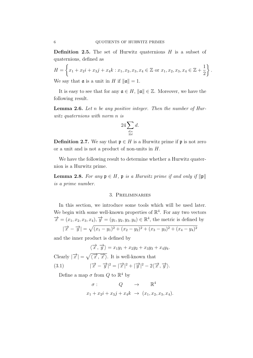**Definition 2.5.** The set of Hurwitz quaternions  $H$  is a subset of quaternions, defined as

$$
H = \left\{ x_1 + x_2 i + x_3 j + x_4 k : x_1, x_2, x_3, x_4 \in \mathbb{Z} \text{ or } x_1, x_2, x_3, x_4 \in \mathbb{Z} + \frac{1}{2} \right\}.
$$
  
We say that **a** is a unit in H if  $||a|| = 1$ .

It is easy to see that for any  $\mathfrak{a} \in H$ ,  $\|\mathfrak{a}\| \in \mathbb{Z}$ . Moreover, we have the following result.

**Lemma 2.6.** Let n be any positive integer. Then the number of Hurwitz quaternions with norm n is

$$
24\sum_{\substack{d\mid n\\2\nmid d}}d.
$$

**Definition 2.7.** We say that  $\mathfrak{p} \in H$  is a Hurwitz prime if  $\mathfrak{p}$  is not zero or a unit and is not a product of non-units in H.

We have the following result to determine whether a Hurwitz quaternion is a Hurwitz prime.

**Lemma 2.8.** For any  $\mathfrak{p} \in H$ ,  $\mathfrak{p}$  is a Hurwitz prime if and only if  $\|\mathfrak{p}\|$ is a prime number.

## 3. Preliminaries

In this section, we introduce some tools which will be used later. We begin with some well-known properties of  $\mathbb{R}^4$ . For any two vectors  $\overrightarrow{x} = (x_1, x_2, x_3, x_4), \overrightarrow{y} = (y_1, y_2, y_3, y_4) \in \mathbb{R}^4$ , the metric is defined by  $|\overrightarrow{x} - \overrightarrow{y}| = \sqrt{(x_1 - y_1)^2 + (x_2 - y_2)^2 + (x_3 - y_3)^2 + (x_4 - y_4)^2}$ 

and the inner product is defined by

$$
\langle \overrightarrow{x}, \overrightarrow{y} \rangle = x_1 y_1 + x_2 y_2 + x_3 y_3 + x_4 y_4.
$$
  
Clearly  $|\overrightarrow{x}| = \sqrt{\langle \overrightarrow{x}, \overrightarrow{x} \rangle}$ . It is well-known that  
(3.1) 
$$
|\overrightarrow{x} - \overrightarrow{y}|^2 = |\overrightarrow{x}|^2 + |\overrightarrow{y}|^2 - 2\langle \overrightarrow{x}, \overrightarrow{y} \rangle.
$$

Define a map  $\sigma$  from  $Q$  to  $\mathbb{R}^4$  by

$$
\sigma: \qquad Q \qquad \to \qquad \mathbb{R}^4
$$
  

$$
x_1 + x_2i + x_3j + x_4k \qquad \to \qquad (x_1, x_2, x_3, x_4).
$$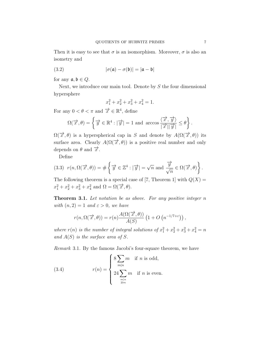Then it is easy to see that  $\sigma$  is an isomorphism. Moreover,  $\sigma$  is also an isometry and

(3.2) 
$$
|\sigma(\mathfrak{a}) - \sigma(\mathfrak{b})| = |\mathfrak{a} - \mathfrak{b}|
$$

for any  $\mathfrak{a}, \mathfrak{b} \in Q$ .

Next, we introduce our main tool. Denote by S the four dimensional hypersphere

$$
x_1^2 + x_2^2 + x_3^2 + x_4^2 = 1.
$$

For any  $0 < \theta < \pi$  and  $\overrightarrow{x} \in \mathbb{R}^4$ , define

$$
\Omega(\overrightarrow{x},\theta) = \left\{\overrightarrow{y} \in \mathbb{R}^4 : |\overrightarrow{y}| = 1 \text{ and } \arccos \frac{\langle \overrightarrow{x}, \overrightarrow{y} \rangle}{|\overrightarrow{x}||\overrightarrow{y}|} \le \theta \right\}.
$$

 $\Omega(\vec{x}, \theta)$  is a hyperspherical cap in S and denote by  $A(\Omega(\vec{x}, \theta))$  its surface area. Clearly  $A(\Omega(\vec{x}, \theta))$  is a positive real number and only depends on  $\theta$  and  $\vec{x}$ .

Define

(3.3) 
$$
r(n, \Omega(\vec{x}, \theta)) = # \left\{ \vec{y} \in \mathbb{Z}^4 : |\vec{y}| = \sqrt{n} \text{ and } \frac{\vec{y}}{\sqrt{n}} \in \Omega(\vec{x}, \theta) \right\}.
$$

The following theorem is a special case of [7, Theorem 1] with  $Q(X) =$  $x_1^2 + x_2^2 + x_3^2 + x_4^2$  and  $\Omega = \Omega(\vec{x}, \theta)$ .

**Theorem 3.1.** Let notation be as above. For any positive integer  $n$ with  $(n, 2) = 1$  and  $\varepsilon > 0$ , we have

$$
r(n, \Omega(\overrightarrow{x}, \theta)) = r(n) \frac{A(\Omega(\overrightarrow{x}, \theta))}{A(S)} \left(1 + O\left(n^{-1/7 + \varepsilon}\right)\right),
$$

where  $r(n)$  is the number of integral solutions of  $x_1^2 + x_2^2 + x_3^2 + x_4^2 = n$ and  $A(S)$  is the surface area of S.

Remark 3.1. By the famous Jacobi's four-square theorem, we have

(3.4) 
$$
r(n) = \begin{cases} 8 \sum_{m|n} m & \text{if } n \text{ is odd,} \\ 24 \sum_{\substack{m|n \\ 2 \nmid m}} m & \text{if } n \text{ is even.} \end{cases}
$$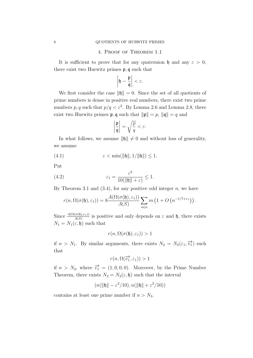## 4. Proof of Theorem 1.1

It is sufficient to prove that for any quaternion h and any  $\varepsilon > 0$ , there exist two Hurwitz primes p, q such that

$$
\left|\mathfrak{h}-\frac{\mathfrak{p}}{\mathfrak{q}}\right|<\varepsilon.
$$

We first consider the case  $\|\mathfrak{h}\| = 0$ . Since the set of all quotients of prime numbers is dense in positive real numbers, there exist two prime numbers p, q such that  $p/q < \varepsilon^2$ . By Lemma 2.6 and Lemma 2.8, there exist two Hurwitz primes **p**, **q** such that  $\|\mathbf{p}\| = p$ ,  $\|\mathbf{q}\| = q$  and

$$
\left|\frac{\mathfrak{p}}{\mathfrak{q}}\right| = \sqrt{\frac{p}{q}} < \varepsilon.
$$

In what follows, we assume  $\|\mathfrak{h}\| \neq 0$  and without loss of generality, we assume

$$
(4.1) \qquad \qquad \varepsilon < \min(\|\mathfrak{h}\|, 1/\|\mathfrak{h}\|) \le 1.
$$

Put

(4.2) 
$$
\varepsilon_1 = \frac{\varepsilon^2}{10(\|\mathfrak{h}\| + \varepsilon)} \le 1.
$$

By Theorem 3.1 and  $(3.4)$ , for any positive odd integer n, we have

$$
r(n, \Omega(\sigma(\mathfrak{h}), \varepsilon_1)) = 8 \frac{A(\Omega(\sigma(\mathfrak{h}), \varepsilon_1))}{A(S)} \sum_{m|n} m\left(1 + O\left(n^{-1/7 + \varepsilon_1}\right)\right).
$$

Since  $\frac{A(\Omega(\sigma(\mathfrak{h}),\varepsilon_1))}{A(S)}$  is positive and only depends on  $\varepsilon$  and  $\mathfrak{h}$ , there exists  $N_1 = N_1(\varepsilon, \mathfrak{h})$  such that

$$
r(n, \Omega(\sigma(\mathfrak{h}), \varepsilon_1)) > 1
$$

if  $n > N_1$ . By similar arguments, there exists  $N_2 = N_2(\varepsilon_1, \vec{e}_1)$  such that

$$
r(n, \Omega(\overrightarrow{e_1}, \varepsilon_1)) > 1
$$

if  $n > N_2$ , where  $\overrightarrow{e_1} = (1, 0, 0, 0)$ . Moreover, by the Prime Number Theorem, there exists  $N_3 = N_3(\varepsilon, \mathfrak{h})$  such that the interval

$$
(n(\|\mathfrak{h}\|-\varepsilon^2/10), n(\|\mathfrak{h}\|+\varepsilon^2/10))
$$

contains at least one prime number if  $n > N_3$ .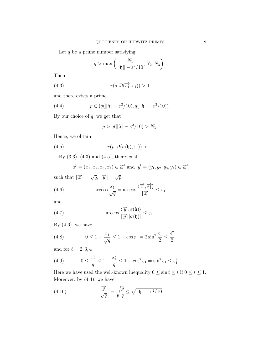Let  $q$  be a prime number satisfying

$$
q > \max\left(\frac{N_1}{\|\mathfrak{h}\| - \varepsilon^2/10}, N_2, N_3\right).
$$

Then

(4.3) 
$$
r(q, \Omega(\vec{e}_1^{\lambda}, \varepsilon_1)) > 1
$$

and there exists a prime

(4.4) 
$$
p \in (q(\|\mathfrak{h}\| - \varepsilon^2/10), q(\|\mathfrak{h}\| + \varepsilon^2/10)).
$$

By our choice of  $q$ , we get that

$$
p > q(||\mathfrak{h}|| - \varepsilon^2/10) > N_1.
$$

Hence, we obtain

(4.5) 
$$
r(p, \Omega(\sigma(\mathfrak{h}), \varepsilon_1)) > 1.
$$

By  $(3.3)$ ,  $(4.3)$  and  $(4.5)$ , there exist

$$
\vec{x} = (x_1, x_2, x_3, x_4) \in \mathbb{Z}^4
$$
 and  $\vec{y} = (y_1, y_2, y_3, y_4) \in \mathbb{Z}^4$ 

such that  $|\overrightarrow{x}| = \sqrt{q}, |\overrightarrow{y}| = \sqrt{p}$ ,

(4.6) 
$$
\arccos \frac{x_1}{\sqrt{q}} = \arccos \frac{\langle \overrightarrow{x}, \overrightarrow{e_1} \rangle}{|\overrightarrow{x}|} \leq \varepsilon_1
$$

and

(4.7) 
$$
\arccos \frac{\langle \overrightarrow{y}, \sigma(\mathfrak{h}) \rangle}{|\overrightarrow{y}||\sigma(\mathfrak{h})|} \leq \varepsilon_1.
$$

By  $(4.6)$ , we have

(4.8) 
$$
0 \le 1 - \frac{x_1}{\sqrt{q}} \le 1 - \cos \varepsilon_1 = 2 \sin^2 \frac{\varepsilon_1}{2} \le \frac{\varepsilon_1^2}{2}
$$

and for  $\ell = 2, 3, 4$ 

(4.9) 
$$
0 \le \frac{x_{\ell}^2}{q} \le 1 - \frac{x_1^2}{q} \le 1 - \cos^2 \varepsilon_1 = \sin^2 \varepsilon_1 \le \varepsilon_1^2.
$$

Here we have used the well-known inequality  $0 \le \sin t \le t$  if  $0 \le t \le 1$ . Moreover, by (4.4), we have

(4.10) 
$$
\left|\frac{\overrightarrow{y}}{\sqrt{q}}\right| = \sqrt{\frac{p}{q}} \le \sqrt{\|\mathfrak{h}\| + \varepsilon^2/10}
$$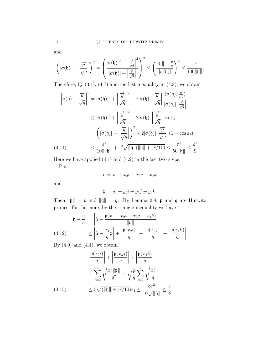and

$$
\left(|\sigma(\mathfrak{h})| - \left|\frac{\overrightarrow{y}}{\sqrt{q}}\right|\right)^2 = \left(\frac{|\sigma(\mathfrak{h})|^2 - \left|\frac{\overrightarrow{y}}{\sqrt{q}}\right|^2}{|\sigma(\mathfrak{h})| + \left|\frac{\overrightarrow{y}}{\sqrt{q}}\right|}\right)^2 \le \left(\frac{\|\mathfrak{h}\| - \frac{p}{q}}{|\sigma(\mathfrak{h})|}\right)^2 \le \frac{\varepsilon^4}{100 \|\mathfrak{h}\|}.
$$

Therefore, by  $(3.1)$ ,  $(4.7)$  and the last inequality in  $(4.8)$ , we obtain

$$
\left|\sigma(\mathfrak{h}) - \frac{\overrightarrow{y}}{\sqrt{q}}\right|^2 = |\sigma(\mathfrak{h})|^2 + \left|\frac{\overrightarrow{y}}{\sqrt{q}}\right|^2 - 2|\sigma(\mathfrak{h})| \left|\frac{\overrightarrow{y}}{\sqrt{q}}\right| \frac{\langle\sigma(\mathfrak{h}), \frac{\overrightarrow{y}}{\sqrt{q}}\rangle}{|\sigma(\mathfrak{h})| \left|\frac{\overrightarrow{y}}{\sqrt{q}}\right|}
$$
  
\n
$$
\leq |\sigma(\mathfrak{h})|^2 + \left|\frac{\overrightarrow{y}}{\sqrt{q}}\right|^2 - 2|\sigma(\mathfrak{h})| \left|\frac{\overrightarrow{y}}{\sqrt{q}}\right| \cos \varepsilon_1
$$
  
\n
$$
= \left(|\sigma(\mathfrak{h})| - \left|\frac{\overrightarrow{y}}{\sqrt{q}}\right|\right)^2 + 2|\sigma(\mathfrak{h})| \left|\frac{\overrightarrow{y}}{\sqrt{q}}\right| (1 - \cos \varepsilon_1)
$$
  
\n(4.11)  
\n
$$
\leq \frac{\varepsilon^4}{100 \|\mathfrak{h}\|} + \varepsilon_1^2 \sqrt{\|\mathfrak{h}\| (\|\mathfrak{h}\| + \varepsilon^2/10)} \leq \frac{\varepsilon^4}{50 \|\mathfrak{h}\|} \leq \frac{\varepsilon^2}{9}.
$$

Here we have applied  $(4.1)$  and  $(4.2)$  in the last two steps.

Put

$$
\mathfrak{q} = x_1 + x_2i + x_3j + x_4k
$$

and

$$
\mathfrak{p} = y_1 + y_2 i + y_3 j + y_4 k.
$$

Then  $\|\mathfrak{p}\| = p$  and  $\|\mathfrak{q}\| = q$ . By Lemma 2.8, p and q are Hurwitz primes. Furthermore, by the triangle inequality we have

$$
\begin{aligned} \left|\mathfrak{h} - \frac{\mathfrak{p}}{\mathfrak{q}}\right| &= \left|\mathfrak{h} - \frac{\mathfrak{p}(x_1 - x_2i - x_3j - x_4k)}{\|\mathfrak{q}\|}\right| \\ \text{(4.12)} \qquad &\leq \left|\mathfrak{h} - \frac{x_1}{q}\mathfrak{p}\right| + \left|\frac{\mathfrak{p}(x_2i)}{q}\right| + \left|\frac{\mathfrak{p}(x_3j)}{q}\right| + \left|\frac{\mathfrak{p}(x_4k)}{q}\right|. \end{aligned}
$$

By  $(4.9)$  and  $(4.4)$ , we obtain

$$
\left| \frac{\mathfrak{p}(x_2 i)}{q} \right| + \left| \frac{\mathfrak{p}(x_3 j)}{q} \right| + \left| \frac{\mathfrak{p}(x_4 k)}{q} \right|
$$

$$
= \sum_{\ell=2}^4 \sqrt{\frac{x_\ell^2 \|\mathfrak{p}\|}{q^2}} = \sqrt{\frac{p}{q}} \sum_{\ell=2}^4 \sqrt{\frac{x_\ell^2}{q}}
$$

$$
(4.13) \le 3\sqrt{\left(\|\mathfrak{h}\| + \varepsilon^2/10\right)} \varepsilon_1 \le \frac{3\varepsilon^2}{10\sqrt{\|\mathfrak{h}\|}} \le \frac{\varepsilon}{3}.
$$